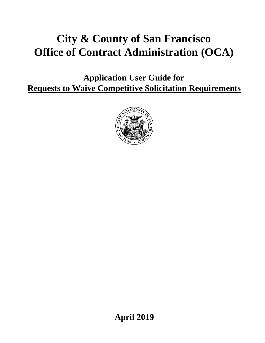# **City & County of San Francisco Office of Contract Administration (OCA)**

**Application User Guide for Requests to Waive Competitive Solicitation Requirements**



**April 2019**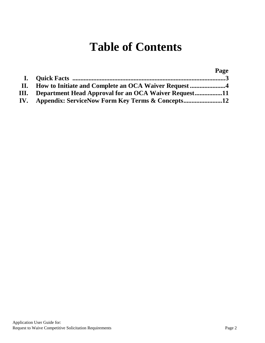# **Table of Contents**

|                                                           | Page |
|-----------------------------------------------------------|------|
|                                                           |      |
|                                                           |      |
| III. Department Head Approval for an OCA Waiver Request11 |      |
|                                                           |      |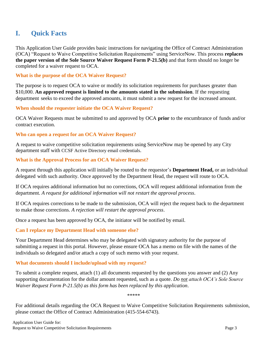# **I. Quick Facts**

This Application User Guide provides basic instructions for navigating the Office of Contract Administration (OCA) "Request to Waive Competitive Solicitation Requirements" using ServiceNow. This process **replaces the paper version of the Sole Source Waiver Request Form P-21.5(b)** and that form should no longer be completed for a waiver request to OCA.

### **What is the purpose of the OCA Waiver Request?**

The purpose is to request OCA to waive or modify its solicitation requirements for purchases greater than \$10,000. **An approved request is limited to the amounts stated in the submission**. If the requesting department seeks to exceed the approved amounts, it must submit a new request for the increased amount.

## **When should the requester initiate the OCA Waiver Request?**

OCA Waiver Requests must be submitted to and approved by OCA **prior** to the encumbrance of funds and/or contract execution.

## **Who can open a request for an OCA Waiver Request?**

A request to waive competitive solicitation requirements using ServiceNow may be opened by any City department staff with CCSF Active Directory email credentials.

## **What is the Approval Process for an OCA Waiver Request?**

A request through this application will initially be routed to the requestor's **Department Head,** or an individual delegated with such authority. Once approved by the Department Head, the request will route to OCA.

If OCA requires additional information but no corrections, OCA will request additional information from the department. *A request for additional information will not restart the approval process*.

If OCA requires corrections to be made to the submission, OCA will reject the request back to the department to make those corrections. *A rejection will restart the approval process*.

Once a request has been approved by OCA, the initiator will be notified by email.

## **Can I replace my Department Head with someone else?**

Your Department Head determines who may be delegated with signatory authority for the purpose of submitting a request in this portal. However, please ensure OCA has a memo on file with the names of the individuals so delegated and/or attach a copy of such memo with your request.

## **What documents should I include/upload with my request?**

To submit a complete request, attach (1) all documents requested by the questions you answer and (2) Any supporting documentation for the dollar amount requested, such as a quote. *Do not attach OCA's Sole Source Waiver Request Form P-21.5(b) as this form has been replaced by this application*.

\*\*\*\*\*\*

For additional details regarding the OCA Request to Waive Competitive Solicitation Requirements submission, please contact the Office of Contract Administration (415-554-6743).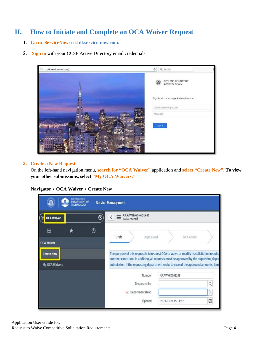# **II. How to Initiate and Complete an OCA Waiver Request**

- **1. Go to ServiceNow: [ccsfdt.service-now.com.](http://ccsfdt.service-now.com/)**
- 2. **Sign in** with your CCSF Active Directory email credentials.



#### **3. Create a New Request:**

On the left-hand navigation menu, **search for "OCA Waiver"** application and **select "Create New". To view your other submissions, select "My OCA Waivers."**

**Navigator > OCA Waiver > Create New**

| шшп                                                      | <b><i>LAN FRANCISCO</i></b><br><b>DEPARTMENT OF</b><br><b>TECHNOLOGY</b> |               | <b>Service Management</b>                                                                                                                                                                                                                                                  |                   |                     |           |   |
|----------------------------------------------------------|--------------------------------------------------------------------------|---------------|----------------------------------------------------------------------------------------------------------------------------------------------------------------------------------------------------------------------------------------------------------------------------|-------------------|---------------------|-----------|---|
| <b>OCA Waiver</b>                                        |                                                                          | ⊗             | OCA Waiver Request<br>New record                                                                                                                                                                                                                                           |                   |                     |           |   |
| 同                                                        |                                                                          | $^\copyright$ | Draft                                                                                                                                                                                                                                                                      | Dept. Head        |                     | OCA Admin |   |
| <b>OCA Waiver</b><br><b>Create New</b><br>My OCA Waivers |                                                                          |               | The purpose of this request is to request OCA to waive or modify its solicitation require<br>contract execution. In addition, all requests must be approved by the requesting depar<br>submission. If the requesting department seeks to exceed the approved amounts, it m |                   |                     |           |   |
|                                                          |                                                                          |               |                                                                                                                                                                                                                                                                            | Number            | OCAWVR0001248       |           |   |
|                                                          |                                                                          |               |                                                                                                                                                                                                                                                                            | Requested for     |                     |           | Q |
|                                                          |                                                                          |               |                                                                                                                                                                                                                                                                            | * Department Head |                     |           | Q |
|                                                          |                                                                          |               |                                                                                                                                                                                                                                                                            | Opened            | 2019-03-21 15:11:52 |           | Ö |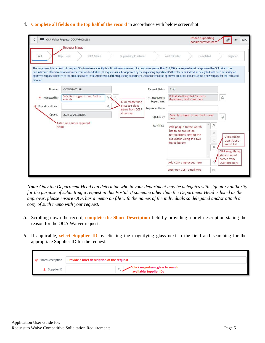#### 4. **Complete all fields on the top half of the record** in accordance with below screenshot:

|                 | OCA Waiver Request - OCAWVR0001238                                                                                                                                                                                                                                                                                                                                                                                                                                                                                                                                        |                                   |                              | <b>Attach supporting</b><br>documentation here'                                                                          |                                           | Save<br>000                                                                      |
|-----------------|---------------------------------------------------------------------------------------------------------------------------------------------------------------------------------------------------------------------------------------------------------------------------------------------------------------------------------------------------------------------------------------------------------------------------------------------------------------------------------------------------------------------------------------------------------------------------|-----------------------------------|------------------------------|--------------------------------------------------------------------------------------------------------------------------|-------------------------------------------|----------------------------------------------------------------------------------|
|                 | <b>Request Status</b>                                                                                                                                                                                                                                                                                                                                                                                                                                                                                                                                                     |                                   |                              |                                                                                                                          |                                           |                                                                                  |
| Draft           | OCA Admin<br>Dept. Head                                                                                                                                                                                                                                                                                                                                                                                                                                                                                                                                                   | <b>Supervising Purchaser</b>      |                              | Asst./Director<br>Completed                                                                                              |                                           | Rejected                                                                         |
| amount.         | The purpose of this request is to request OCA to waive or modify its solicitation requirements for purchases greater than \$10,000. Your request must be approved by OCA prior to the<br>encumbrance of funds and/or contract execution. In addition, all requests must be approved by the requesting department's Director or an individual delegated with such authority. An<br>approved request is limited to the amounts stated in this submission. If the requesting department seeks to exceed the approved amounts, it must submit a new request for the increased |                                   |                              |                                                                                                                          |                                           |                                                                                  |
| Number          | OCAWVR0001238                                                                                                                                                                                                                                                                                                                                                                                                                                                                                                                                                             |                                   | <b>Request Status</b>        | Draft                                                                                                                    |                                           |                                                                                  |
| * Requested for | Defaults to logged in user, field is<br>$Q_{\bullet}$<br>$\odot$<br>editable                                                                                                                                                                                                                                                                                                                                                                                                                                                                                              | <b>Click magnifying</b>           | $*$ Requesting<br>Department | Defaults to Requested For user's<br>department, field is read only                                                       |                                           | $\odot$                                                                          |
| Department Head | Q                                                                                                                                                                                                                                                                                                                                                                                                                                                                                                                                                                         | glass to select<br>name from CCSF | Requester Phone              |                                                                                                                          |                                           |                                                                                  |
| Opened          | 2019-03-20 19:40:56                                                                                                                                                                                                                                                                                                                                                                                                                                                                                                                                                       | directory                         | Opened by                    | Defaults to logged in user, field is read<br>only                                                                        |                                           | $\odot$                                                                          |
| fields          | Asterisks denote required                                                                                                                                                                                                                                                                                                                                                                                                                                                                                                                                                 |                                   | Watch list                   | Add people to the watch<br>list to be copied on<br>notifications sent to the<br>requester using the two<br>fields below. | 廷<br>×<br>$\circledcirc$<br>$\widehat{a}$ | Click lock to<br>open/close<br>watch list<br>Click magnifying<br>glass to select |
|                 |                                                                                                                                                                                                                                                                                                                                                                                                                                                                                                                                                                           |                                   |                              | Add CCSF employees here                                                                                                  | $Q^I$                                     | names from<br><b>CCSF</b> directory                                              |
|                 |                                                                                                                                                                                                                                                                                                                                                                                                                                                                                                                                                                           |                                   |                              | Enter non CCSF email here                                                                                                | Ø                                         |                                                                                  |

*Note: Only the Department Head can determine who in your department may be delegates with signatory authority for the purpose of submitting a request in this Portal. If someone other than the Department Head is listed as the approver, please ensure OCA has a memo on file with the names of the individuals so delegated and/or attach a copy of such memo with your request.*

- 5. Scrolling down the record, **complete the Short Description** field by providing a brief description stating the reason for the OCA Waiver request.
- 6. If applicable, **select Supplier ID** by clicking the magnifying glass next to the field and searching for the appropriate Supplier ID for the request.

| * Short Description | Provide a brief description of the request                 |
|---------------------|------------------------------------------------------------|
| $\star$ Supplier ID | Click magnifying glass to search<br>available Supplier IDs |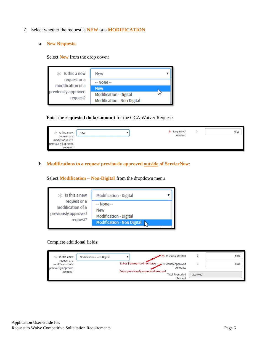- 7. Select whether the request is **NEW** or a **MODIFICATION**.
	- a. **New Requests:**

Select **New** from the drop down:

| $*$ Is this a new                 | New                                                  |  |
|-----------------------------------|------------------------------------------------------|--|
| request or a<br>modification of a | $-$ None $-$<br><b>New</b>                           |  |
| previously approved<br>request?   | Modification - Digital<br>Modification - Non Digital |  |

Enter the **requested dollar amount** for the OCA Waiver Request:

| Is this a new<br>÷<br>request or a<br>modification of a | New | $\star$ Requested<br>Amount | 0.00 |
|---------------------------------------------------------|-----|-----------------------------|------|
| previously approved<br>request?                         |     | 332 MY 1045 1-17 0          |      |

#### b. **Modifications to a request previously approved outside of ServiceNow:**

Select **Modification – Non-Digital** from the dropdown menu

| $*$ Is this a new<br>request or a<br>modification of a<br>previously approved<br>request? | Modification - Digital                               |
|-------------------------------------------------------------------------------------------|------------------------------------------------------|
|                                                                                           | $-$ None $-$<br>New<br><b>Modification - Digital</b> |
|                                                                                           | <b>Modification - Non Digital</b>                    |

Complete additional fields:

| $\angle$ Is this a new                                   | Increase amount<br>Modification - Non Digital              |                    | 0.00 |
|----------------------------------------------------------|------------------------------------------------------------|--------------------|------|
| request or a<br>modification of a<br>previously approved | <b>Enter S amount of increase</b><br>Previously Approved   | Amounts            | 0.00 |
| request?                                                 | Enter previously approved amount<br><b>Total Requested</b> | USD:0.00<br>Amount |      |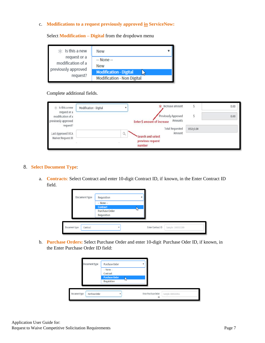#### c. **Modifications to a request previously approved in ServiceNow:**

 $\angle$  Is this a new New  $\overline{\mathbf{v}}$ request or a  $-$  None $$ modification of a New previously approved **Modification - Digital** ℕ request? Modification - Non Digital

Select **Modification – Digital** from the dropdown menu

#### Complete additional fields.

| $*$ Is this a new<br>request or a        | Modification - Digital |          | $\star$ Increase amount                                              |          | 0.00 |
|------------------------------------------|------------------------|----------|----------------------------------------------------------------------|----------|------|
| modification of a<br>previously approved |                        |          | Previously Approved<br>Amounts<br><b>Enter \$ amount of increase</b> | 0.00     |      |
| request?<br>Last Approved OCA            |                        | $\alpha$ | <b>Total Requested</b><br>Amount                                     | USD:0.00 |      |
| Waiver Request ID                        |                        |          | <b>Search and select</b><br>previous request<br>number               |          |      |

#### 8. **Select Document Type**:

a. **Contracts**: Select Contract and enter 10-digit Contract ID, if known, in the Enter Contract ID field.

| Document type             | Requisition                                                             |   |                   |                    |
|---------------------------|-------------------------------------------------------------------------|---|-------------------|--------------------|
|                           | $-$ None $-$<br><b>Contract</b><br><b>Purchase Order</b><br>Requisition | W |                   |                    |
| Document type<br>Contract |                                                                         |   | Enter Contract ID | Sample: 1000013289 |

b. **Purchase Orders:** Select Purchase Order and enter 10-digit Purchase Oder ID, if known, in the Enter Purchase Order ID field:

|               | Document type  | Purchase Order                       |   |                      |                    |  |
|---------------|----------------|--------------------------------------|---|----------------------|--------------------|--|
|               |                | $-$ None $-$<br>Contract             |   |                      |                    |  |
|               |                | <b>Purchase Order</b><br>Requisition | w |                      |                    |  |
| Document type | Purchase Order |                                      |   | Enter Purchase Order | Sample: 0000269951 |  |
|               |                |                                      |   | ID                   |                    |  |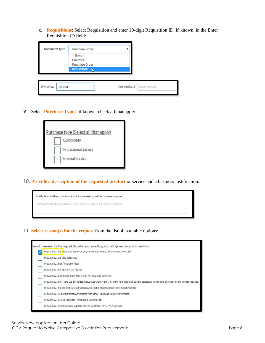c. **Requisitions**: Select Requisition and enter 10-digit Requisition ID, if known, in the Enter Requisition ID field:

| Document type |             | Purchase Order                                                                |                      |                    |
|---------------|-------------|-------------------------------------------------------------------------------|----------------------|--------------------|
|               |             | $-$ None $-$<br>Contract<br><b>Purchase Order</b><br><b>Requisition</b><br>۸ī |                      |                    |
| Document type | Requisition |                                                                               | Enter Requisition ID | Sample: 0000269951 |

9. Select **Purchase Type/s** if known, check all that apply:



10. **Provide a description of the requested product** or service and a business justification:



11. **Select reason(s) for the request** from the list of available options:

| Select the reason for this request. Based on your selection, a tab will appear below with questions                                                             |
|-----------------------------------------------------------------------------------------------------------------------------------------------------------------|
| Regulation 21.5(b): No Other Source or Only One Vendor willing to Contract with the City.                                                                       |
| Regulation 21.5(b): No Substitute                                                                                                                               |
| Regulation 21.5(c): Perishable foods                                                                                                                            |
| Regulation 21.5(d): Proprietary Articles                                                                                                                        |
| Regulation 21.5(e): Pilot Project with a Term Not to Exceed Two Years                                                                                           |
| Regulation 21.5(f): Micro LBE Set Asides pursuant to Chapter 14B.7(K) of the Administrative Code (If selected, no additional questions or information required) |
| Regulation 21.5(g): Federal Funds (If selected, no additional questions or information required)                                                                |
| Regulation 21.16(b): Reciprocal Agreements with Other Public and Non Profit Agencies                                                                            |
| Regulation 21.16(c): Solicitations for Multiple Departments                                                                                                     |
| Regulation 21.30(d): Software Support/Renewal/Upgrade (N/A for NEW licenses)                                                                                    |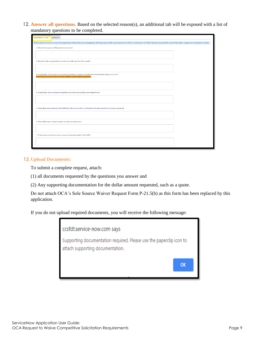12. **Answer all questions.** Based on the selected reason(s), an additional tab will be exposed with a list of mandatory questions to be completed.

| Regulation 21.5(b1)* | Activities                                                                                                                                                                                                                    |  |
|----------------------|-------------------------------------------------------------------------------------------------------------------------------------------------------------------------------------------------------------------------------|--|
|                      | If this request pertains to support for proprietary software licenses or equipment, OCA may approve this request pursuant to Admin Code Section 21.30(d). However, departments must still provide a response to each question |  |
|                      | 1. What is the purpose of this product or service?                                                                                                                                                                            |  |
|                      |                                                                                                                                                                                                                               |  |
|                      |                                                                                                                                                                                                                               |  |
|                      | 2. Why this is the only product or service that will meet the City's needs?                                                                                                                                                   |  |
|                      |                                                                                                                                                                                                                               |  |
|                      |                                                                                                                                                                                                                               |  |
|                      | 3. If applicable, is the product or services proprietary in nature such that it is available from only one source?<br>If yes, please provide a letter from the supplier supporting this assertion.                            |  |
|                      |                                                                                                                                                                                                                               |  |
|                      |                                                                                                                                                                                                                               |  |
|                      |                                                                                                                                                                                                                               |  |
|                      | 4. If applicable, how long have the goods or services been used by your department?                                                                                                                                           |  |
|                      |                                                                                                                                                                                                                               |  |
|                      |                                                                                                                                                                                                                               |  |
|                      | 5. What steps were taken to verify that this is the only vendor or contractor that can provide the services or products                                                                                                       |  |
|                      |                                                                                                                                                                                                                               |  |
|                      |                                                                                                                                                                                                                               |  |
|                      | 6. What efforts were made to obtain the best possible price?                                                                                                                                                                  |  |
|                      |                                                                                                                                                                                                                               |  |
|                      |                                                                                                                                                                                                                               |  |
|                      | 7. If there are compliance issues, have you received a waiver from CMD?                                                                                                                                                       |  |
|                      |                                                                                                                                                                                                                               |  |
|                      |                                                                                                                                                                                                                               |  |

#### **13. Upload Documents:**

To submit a complete request, attach:

- (1) all documents requested by the questions you answer and
- (2) Any supporting documentation for the dollar amount requested, such as a quote.

Do not attach OCA's Sole Source Waiver Request Form P-21.5(b) as this form has been replaced by this application.

If you do not upload required documents, you will receive the following message:

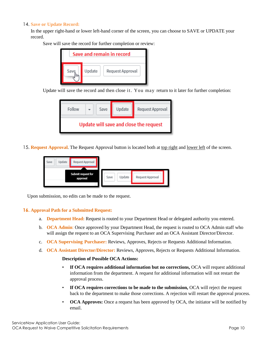#### 14. **Save or Update Record:**

In the upper right-hand or lower left-hand corner of the screen, you can choose to SAVE or UPDATE your record.

Save will save the record for further completion or review:

| Save and remain in record |        |                  |  |  |  |  |
|---------------------------|--------|------------------|--|--|--|--|
| Save                      | Update | Request Approval |  |  |  |  |

Update will save the record and then close it. You may return to it later for further completion:

| Follow                                 |  | Save | Update | Request Approval |  |  |  |  |
|----------------------------------------|--|------|--------|------------------|--|--|--|--|
| Update will save and close the request |  |      |        |                  |  |  |  |  |

15. **Request Approval**. The Request Approval button is located both at top right and lower left of the screen.

| Update<br>Save | Request Approval                       |        |                  |
|----------------|----------------------------------------|--------|------------------|
|                | Submit request for<br>Save<br>approval | Update | Request Approval |

Upon submission, no edits can be made to the request.

#### **16. Approval Path for a Submitted Request:**

- a. **Department Head:** Request is routed to your Department Head or delegated authority you entered.
- b. **OCA Admin**: Once approved by your Department Head, the request is routed to OCA Admin staff who will assign the request to an OCA Supervising Purchaser and an OCA Assistant Director/Director.
- c. **OCA Supervising Purchaser:** Reviews, Approves, Rejects or Requests Additional Information.
- d. **OCA Assistant Director/Director:** Reviews, Approves, Rejects or Requests Additional Information.

#### **Description of Possible OCA Actions:**

- **If OCA requires additional information but no corrections,** OCA will request additional information from the department. A request for additional information will not restart the approval process.
- If OCA requires corrections to be made to the submission, OCA will reject the request back to the department to make those corrections. A rejection will restart the approval process.
- **OCA Approves:** Once a request has been approved by OCA, the initiator will be notified by email.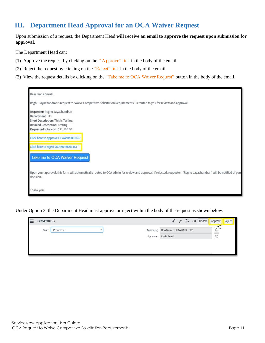# **III. Department Head Approval for an OCA Waiver Request**

Upon submission of a request, the Department Head **will receive an email to approve the request upon submission for approval**.

The Department Head can:

- (1) Approve the request by clicking on the " Approve" link in the body of the email
- (2) Reject the request by clicking on the "Reject" link in the body of the email
- (3) View the request details by clicking on the "Take me to OCA Waiver Request" button in the body of the email.

| Dear Linda Gerull,                                                                                                                                                               |
|----------------------------------------------------------------------------------------------------------------------------------------------------------------------------------|
| Reghu Jayachandran's request to 'Waive Competitive Solicitation Requirements' is routed to you for review and approval.                                                          |
| Requester: Reghu Jayachandran<br>Department: TIS<br>Short Description: This is Testing<br><b>Detailed Description: Testing</b><br>Requested total cost: \$21,110.00              |
| Click here to approve OCAWVR0001167                                                                                                                                              |
| Click here to reject OCAWVR0001167                                                                                                                                               |
| Take me to OCA Waiver Request                                                                                                                                                    |
| Upon your approval, this form will automatically routed to OCA admin for review and approval. If rejected, requester - 'Reghu Jayachandran' will be notified of you<br>decision. |
| Thank you.                                                                                                                                                                       |

Under Option 3, the Department Head must approve or reject within the body of the request as shown below:

| OCAWVR0001312<br>=              |           |           | $v^4 \equiv 000$<br>$\mathscr{Q}$<br>Update | Approve<br>$\sim$      | Reject |
|---------------------------------|-----------|-----------|---------------------------------------------|------------------------|--------|
| $\operatorname{\mathsf{State}}$ | Requested | Approving | OCA Waiver: OCAWVR0001312                   | <b>RULL</b><br>$\odot$ |        |
|                                 |           | Approver  | Linda Gerull                                | $\odot$                |        |
|                                 |           |           |                                             |                        |        |
|                                 |           |           |                                             |                        |        |
|                                 |           |           |                                             |                        |        |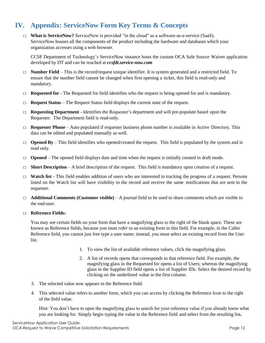# **IV. Appendix: ServiceNow Form Key Terms & Concepts**

□ **What is ServiceNow?** ServiceNow is provided "in the cloud" as a software-as-a-service (SaaS). ServiceNow houses all the components of the product including the hardware and databases which your organization accesses using a web browser.

CCSF Department of Technology's ServiceNow instance hosts the custom OCA Sole Source Waiver application developed by DT and can be reached at *ccsfdt.service-now.com*

- $\Box$  **Number Field** This is the record/request unique identifier. It is system generated and a restricted field. To ensure that the number field cannot be changed when first opening a ticket, this field is read-only and mandatory.
- $\Box$  **Requested for** The Requested for field identifies who the request is being opened for and is mandatory.
- □ **Request Status** The Request Status field displays the current state of the request.
- □ **Requesting Department** Identifies the Requester's department and will pre-populate based upon the Requester. The Department field is read-only.
- $\Box$  **Requester Phone** Auto populated if requester business phone number is available in Active Directory. This data can be edited and populated manually as well.
- $\Box$  **Opened By** This field identifies who opened/created the request. This field is populated by the system and is read only.
- $\Box$  **Opened** The opened field displays date and time when the request is initially created in draft mode.
- $\Box$  **Short Description** A brief description of the request. This field is mandatory upon creation of a request.
- □ **Watch list** This field enables addition of users who are interested in tracking the progress of a request. Persons listed on the Watch list will have visibility to the record and receive the same notifications that are sent to the requester.
- □ **Additional Comments (Customer visible)** A journal field to be used to share comments which are visible to the end-user.

#### □ **Reference Fields:**

You may see certain fields on your form that have a magnifying glass to the right of the blank space. These are known as Reference fields, because you must *refer* to an existing form in this field. For example, in the Caller Reference field, you cannot just free type a user name; instead, you must select an existing record from the User list.

- 1. To view the list of available reference values, click the magnifying glass.
- 2. A list of records opens that corresponds to that reference field. For example, the magnifying glass in the Requested for opens a list of Users; whereas the magnifying glass in the Supplier ID field opens a list of Supplier IDs. Select the desired record by clicking on the underlined value in the first column.
- 3. The selected value now appears in the Reference field.
- 4. This selected value refers to another form, which you can access by clicking the Reference Icon to the right of the field value.

Hint: You don't have to open the magnifying glass to search for your reference value if you already know what you are looking for. Simply begin typing the value in the Reference field and select from the resulting list**.**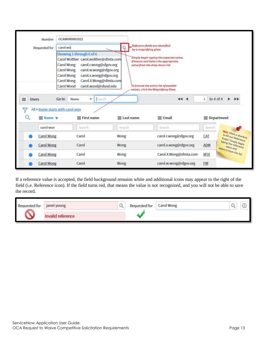| Number                                                  | OCAWVR0001022                                                                                                                                                                                         |                    |                                                                                                                                                                              |                              |                                                           |  |  |
|---------------------------------------------------------|-------------------------------------------------------------------------------------------------------------------------------------------------------------------------------------------------------|--------------------|------------------------------------------------------------------------------------------------------------------------------------------------------------------------------|------------------------------|-----------------------------------------------------------|--|--|
| Requested for                                           | carol wo<br>Showing 1 through 6 of 6<br>Carol Wolther carol.wolther@sfmta.com<br>Carol Wong<br>carol.r.wong@sfgov.org<br>Carol Wong<br>carol.w.wong@sfgov.org<br>Carol Wong<br>carol.x.wong@sfgov.org | ó                  | Reference fields are identified<br>by a magnifying glass<br>Simply begin typing the expected value,<br>if known and Select the appropriate<br>value from the drop-down list. |                              |                                                           |  |  |
| Ξ<br><b>Users</b><br>$\equiv$ Name $\blacktriangledown$ | Carol.X.Wong@sfmta.com<br>Carol Wong<br>Carol Wood<br>carol.wood@sfusd.edu<br>Go to<br>Search<br>Name<br>v<br>All > Name starts with carol won<br>$\equiv$ First name                                 | $\equiv$ Last name | To browse the entire list of possible<br>values, click the Magnifying Glass.<br>44.4<br>$\equiv$ Email                                                                       | $\mathbf 1$<br>to $4$ of $4$ | $\equiv$ Department                                       |  |  |
| carol won                                               | Search                                                                                                                                                                                                | Search             | Search                                                                                                                                                                       | Search                       |                                                           |  |  |
| Carol Wong                                              | Carol                                                                                                                                                                                                 | Wong               | carol.r.wong@sfgov.org                                                                                                                                                       | CAT                          | Hint: Want a shortcut<br>to fill out Reference            |  |  |
| <b>Carol Wong</b>                                       | Carol                                                                                                                                                                                                 | Wong               | carol.x.wong@sfgov.org                                                                                                                                                       | <b>ADM</b>                   | fields? Simply begin<br>typing the reference<br>value and |  |  |
| <b>Carol Wong</b>                                       | Carol                                                                                                                                                                                                 | Wong               | Carol.X.Wong@sfmta.com                                                                                                                                                       | <b>MTA</b>                   | select it from the list                                   |  |  |
| <b>Carol Wong</b>                                       | Carol                                                                                                                                                                                                 | Wong               | carol.w.wong@sfgov.org                                                                                                                                                       | <b>FIR</b>                   |                                                           |  |  |

If a reference value is accepted, the field background remains white and additional icons may appear to the right of the field (i.e. Reference icon). If the field turns red, that means the value is not recognized, and you will not be able to save the record.

| <b>Requested for</b> | janet young       | <b>Requested for</b> | <b>Carol Wong</b> |  |
|----------------------|-------------------|----------------------|-------------------|--|
|                      | Invalid reference |                      |                   |  |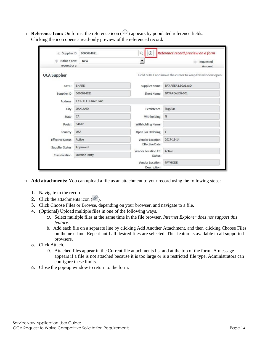$\Box$  **Reference Icon:** On forms, the reference icon ( $\Box$ ) appears by populated reference fields. Clicking the icon opens a read-only preview of the referenced record**.**

| Supplier ID<br>Ж              | 0000024621           | ⊙<br>$\alpha$                            | Reference record preview on a form                      |  |  |
|-------------------------------|----------------------|------------------------------------------|---------------------------------------------------------|--|--|
| Is this a new<br>request or a | New                  | $\overline{\phantom{a}}$                 | Requested<br>Ж.<br>Amount                               |  |  |
| <b>OCA Supplier</b>           |                      |                                          | Hold SHIFT and move the cursor to keep this window open |  |  |
| SetID                         | <b>SHARE</b>         | <b>Supplier Name</b>                     | <b>BAY AREA LEGAL AID</b>                               |  |  |
| Supplier ID                   | 0000024621           | Short Name                               | BAYAREALEG-001                                          |  |  |
| <b>Address</b>                | 1735 TELEGRAPH AVE   |                                          |                                                         |  |  |
| City                          | <b>OAKLAND</b>       | Persistence                              | Regular                                                 |  |  |
| State                         | CA                   | Withholding                              | $\mathbb{N}$                                            |  |  |
| Postal                        | 94612                | Withholding Name                         |                                                         |  |  |
| Country                       | <b>USA</b>           | Open For Ordering                        | γ                                                       |  |  |
| <b>Effective Status</b>       | Active               | Vendor Location<br><b>Effective Date</b> | 2017-11-14                                              |  |  |
| <b>Supplier Status</b>        | Approved             | Vendor Location Eff                      | Active                                                  |  |  |
| Classification                | <b>Outside Party</b> | <b>Status</b>                            |                                                         |  |  |
|                               |                      | Vendor Location<br>Description           | PAYMODE                                                 |  |  |

- □ **Add attachments:** You can upload a file as an attachment to your record using the following steps:
	- 1. Navigate to the record.
	- 2. Click the attachments icon  $(\mathscr{D})$ .
	- 3. Click Choose Files or Browse, depending on your browser, and navigate to a file.
	- 4. (Optional) Upload multiple files in one of the following ways.
		- *a.* Select multiple files at the same time in the file browser. *Internet Explorer does not support this feature.*
		- b. Add each file on a separate line by clicking Add Another Attachment, and then clicking Choose Files on the next line. Repeat until all desired files are selected. This feature is available in all supported browsers.
	- 5. Click Attach.
		- *a.* Attached files appear in the Current file attachments list and at the top of the form. A message appears if a file is not attached because it is too large or is a restricted file type. Administrators can configure these limits.
	- 6. Close the pop-up window to return to the form.